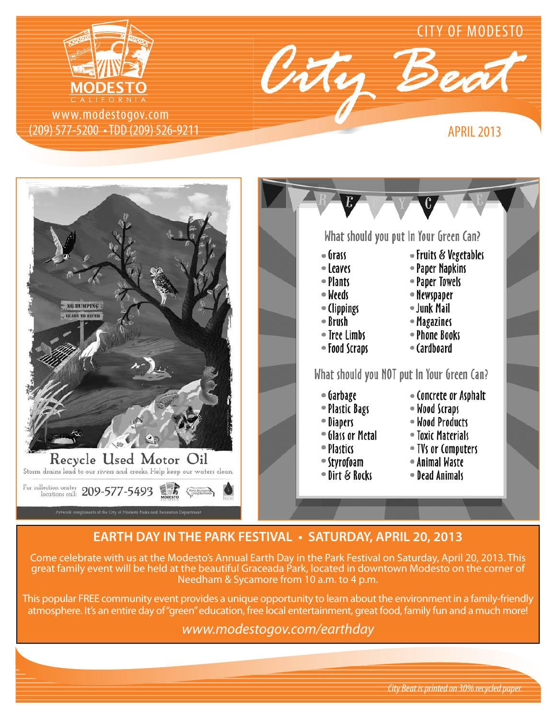

(209) 577-5200 • TDD (209) 526-9211 www.modestogov.com





## **EARTH DAY IN THE PARK FESTIVAL • SATURDAY, APRIL 20, 2013**

Come celebrate with us at the Modesto's Annual Earth Day in the Park Festival on Saturday, April 20, 2013. This great family event will be held at the beautiful Graceada Park, located in downtown Modesto on the corner of Needham & Sycamore from 10 a.m. to 4 p.m.

This popular FREE community event provides a unique opportunity to learn about the environment in a family-friendly atmosphere. It's an entire day of "green" education, free local entertainment, great food, family fun and a much more!

*www.modestogov.com/earthday*